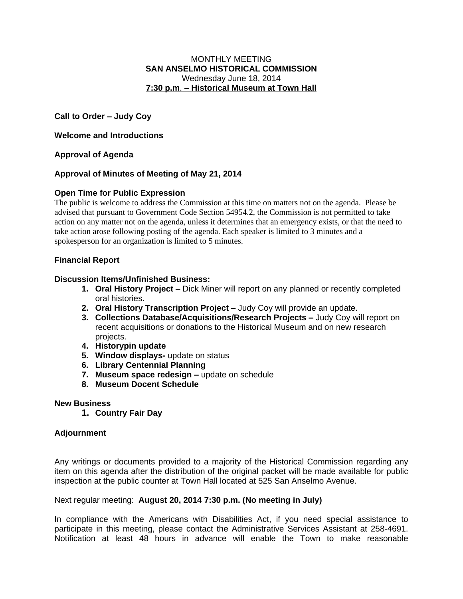#### MONTHLY MEETING **SAN ANSELMO HISTORICAL COMMISSION** Wednesday June 18, 2014 **7:30 p.m**. – **Historical Museum at Town Hall**

**Call to Order – Judy Coy**

**Welcome and Introductions**

# **Approval of Agenda**

# **Approval of Minutes of Meeting of May 21, 2014**

# **Open Time for Public Expression**

The public is welcome to address the Commission at this time on matters not on the agenda. Please be advised that pursuant to Government Code Section 54954.2, the Commission is not permitted to take action on any matter not on the agenda, unless it determines that an emergency exists, or that the need to take action arose following posting of the agenda. Each speaker is limited to 3 minutes and a spokesperson for an organization is limited to 5 minutes.

## **Financial Report**

## **Discussion Items/Unfinished Business:**

- **1. Oral History Project –** Dick Miner will report on any planned or recently completed oral histories.
- **2. Oral History Transcription Project –** Judy Coy will provide an update.
- **3. Collections Database/Acquisitions/Research Projects –** Judy Coy will report on recent acquisitions or donations to the Historical Museum and on new research projects.
- **4. Historypin update**
- **5. Window displays-** update on status
- **6. Library Centennial Planning**
- **7.** Museum space redesign update on schedule
- **8. Museum Docent Schedule**

#### **New Business**

**1. Country Fair Day**

## **Adjournment**

Any writings or documents provided to a majority of the Historical Commission regarding any item on this agenda after the distribution of the original packet will be made available for public inspection at the public counter at Town Hall located at 525 San Anselmo Avenue.

#### Next regular meeting: **August 20, 2014 7:30 p.m. (No meeting in July)**

In compliance with the Americans with Disabilities Act, if you need special assistance to participate in this meeting, please contact the Administrative Services Assistant at 258-4691. Notification at least 48 hours in advance will enable the Town to make reasonable